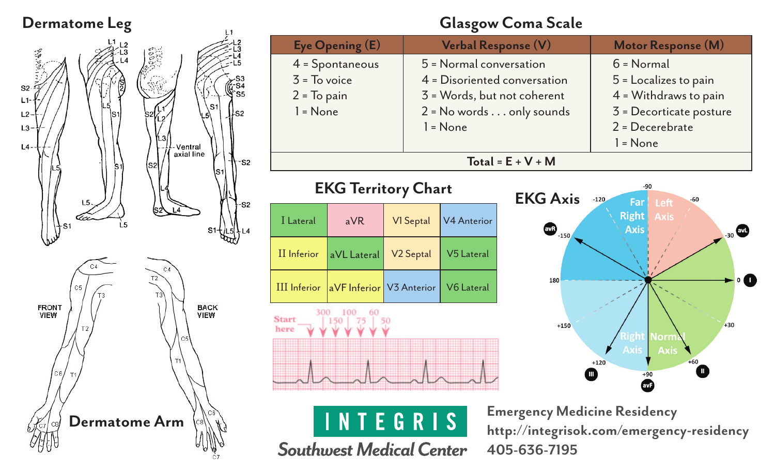



 $-S2$ 

S<sub>2</sub>

**Southwest Medical Center** 

#### **Glasgow Coma Scale**

|                                               |                 |                          | o                                                                                                                            |                                     |                                                                                             |
|-----------------------------------------------|-----------------|--------------------------|------------------------------------------------------------------------------------------------------------------------------|-------------------------------------|---------------------------------------------------------------------------------------------|
|                                               | Eye Opening (E) |                          | Verbal Response (V)                                                                                                          |                                     | Motor Response (M)                                                                          |
| $3 = To$ voice<br>$2 = To pain$<br>$l = None$ | 4 = Spontaneous |                          | 5 = Normal conversation<br>4 = Disoriented conversation<br>3 = Words, but not coherent<br>$2$ = No words $\dots$ only sounds |                                     | $6 = Normal$<br>5 = Localizes to pain<br>$4$ = Withdraws to pain<br>3 = Decorticate posture |
|                                               |                 |                          | $l = None$                                                                                                                   |                                     | $2$ = Decerebrate<br>$l = None$                                                             |
|                                               |                 |                          |                                                                                                                              | Total = $E + V + M$                 |                                                                                             |
| <b>EKG Territory Chart</b>                    |                 |                          |                                                                                                                              | <b>EKG Axis</b>                     | $-90$<br>$-120$<br>$-60$<br>Far<br>Left                                                     |
| I Lateral                                     | aVR             | VI Septal                | <b>V4 Anterior</b>                                                                                                           | $\bigcirc$ <sub>-150</sub>          | <b>Right</b><br><b>Axis</b><br>Axis<br>$_{30}$                                              |
| II Inferior                                   | aVL Lateral     | V <sub>2</sub> Septal    | V5 Lateral                                                                                                                   |                                     |                                                                                             |
| III Inferior                                  |                 | aVF Inferior V3 Anterior | V6 Lateral                                                                                                                   | 180                                 | $\circ$ $\bullet$                                                                           |
| 300<br><b>Start</b><br>here                   |                 |                          |                                                                                                                              | $+150$                              | $+30$<br>light<br>lorn                                                                      |
|                                               |                 |                          |                                                                                                                              |                                     | <b>Axis</b><br>Axis<br>$+60$<br>$+120$<br>Ш<br>$+90$                                        |
|                                               |                 | E G R                    |                                                                                                                              | <b>Emergency Medicine Residency</b> | http://integrisok.com/emergency-residency                                                   |

**Emergency Medicine Residency http://integrisok.com/emergency-residency 405-636-7195**